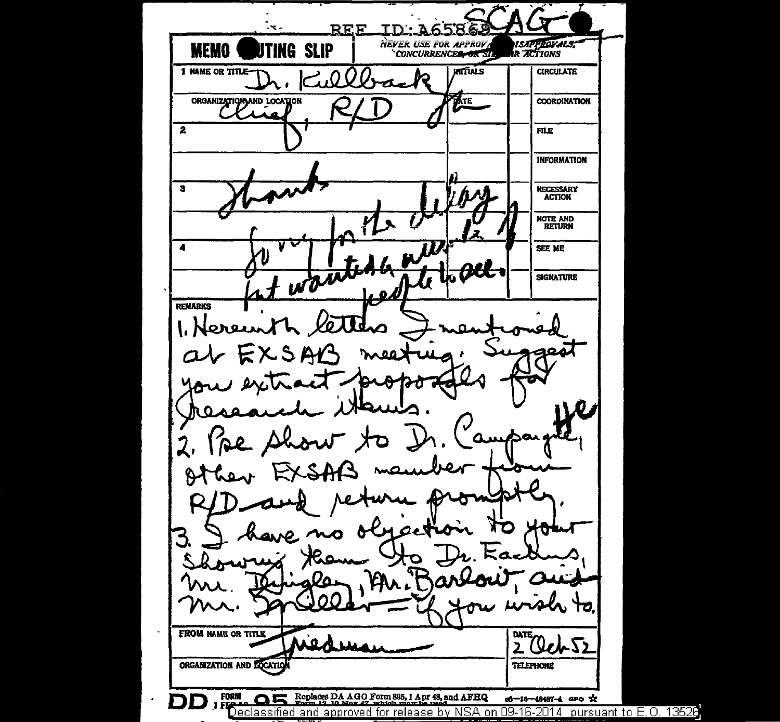RFF тn 71 NEVER USE FOR APPROVA *ISAPPROVALS;*<br>R ACTIONS **MEMO UTING SLIP 1 NAME OR TITLE KITTALS CIRCULATE** Ω. ORGANIZATION AND LOCATION **ATE COORDINATION**  $\overline{2}$ **FILE INFORMATION** NECESSARY<br>ACTION  $\mathbf{3}$ NOTE AND<br>RETURN wanted an  $\ddot{\phantom{a}}$ SEE ME ALL **SIGNATURE** أدعيا **REMARKS** 1. Nereunt XSA 2, pe p  $\mathsf{M}$ 3  $k_{\rm A}$  $\boldsymbol{\alpha}$ **FROM NAME OR TITLE** DATE  $20$ ch  $52$ ORGANIZATION AND LOCAT **TELEPHONE** Replaces DA AGO Form 895, 1 Apr 48, and AFHQ **FORM** o6-16-48487-4 aro x n Declassified and approved for release by NSA on 09-16-2014 pursuant to E.O. 13528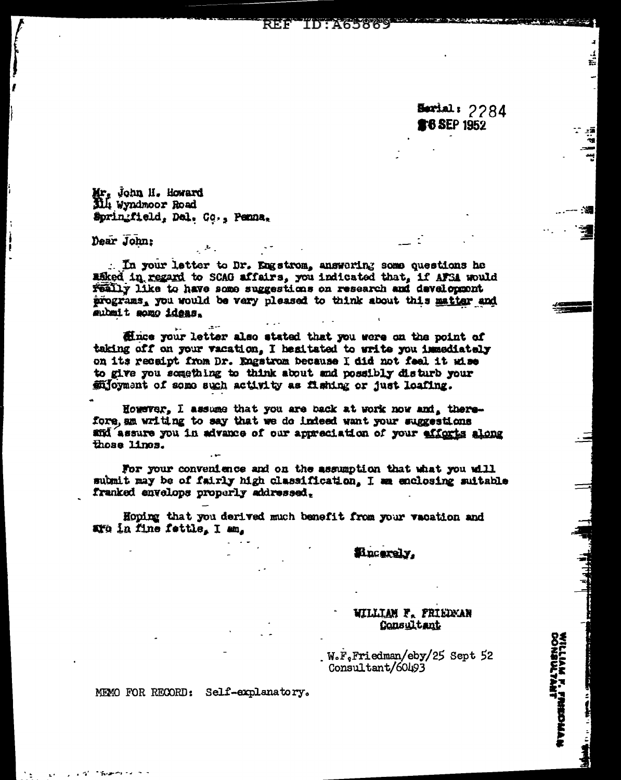**ID:A65869** REF

> Serial: 2284 **r6 SEP 1952**

ť.

- 7

- 39

VILLIAM F. FRIEDMAN<br>VILLIAM F. FRIEDMAN

Mr. John II. Howard<br>Dili Wyndmoor Road Springfield, Del. Co., Penna,

Dear John:

. In your letter to Dr. Engstrom, answering some questions he asked in regard to SCAG affairs, you indicated that, if AFSA would Feally like to have some suggestions on research and daveloppont programs, you would be very pleased to think about this matter and mubmit somo ideas.

fince your letter also stated that you were on the point of taking off on your vacation. I healtated to write you immediately on its recaipt from Dr. Engstrom because I did not feel it wise to give you something to think about and possibly disturb your mioyment of some such activity as fishing or just loafing.

However, I assume that you are back at work now and, therefore, an writing to say that we do indeed want your suggestions and assure you in advance of our appreciation of your efforts along those lines.

For your convenience and on the assumption that what you will submit may be of fairly high classification. I am enclosing suitable franked envelops properly addressed.

Hoping that you derived much benefit from your vacation and aro in fine fettle. I am.

Eincerely.

## WILLIAM F. FRIEDMAN Consultant

W.F.Friedman/eby/25 Sept 52 Consultant/60493

MEMO FOR RECORD: Self-explanatory.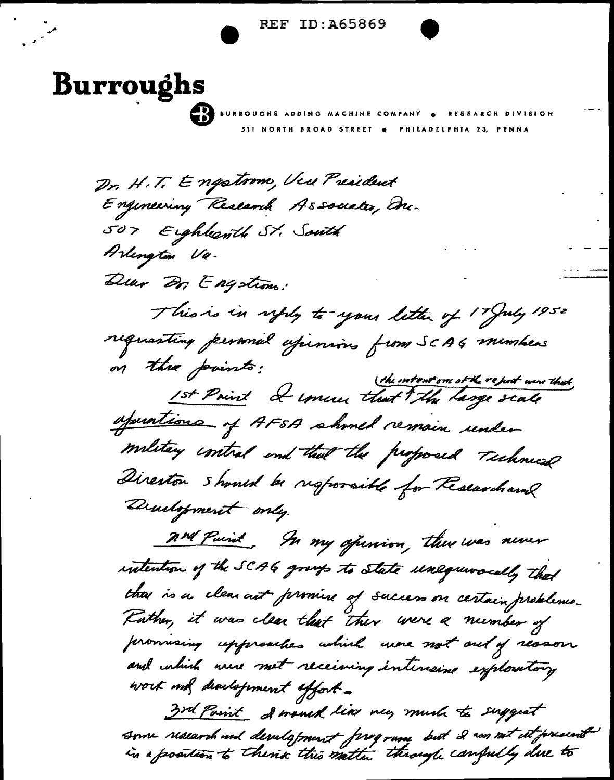./ **e** REF ID:A65869 •

**Burroughs Burroughs** *Sii* NORTH BROAD STREET e PHILADtLPHIA 23, PENNA

<sup>J</sup>..

.

 $\not\!\!{D}_r$ , H.T. Engstrom, Veu President Engineering Research Associates, Enc. 507 Eighbeath St. South ~~ *14-* Deur Dr. Engstrom: This is in uply to your letter of 17 July 1952 requesting personal esperances from SCAG members on the points ! (the intentions of the report was that 1st Paint I unever that The large scale ofunctions of AFSA should remain under Director should be responsible for Researchand Drustopment only. 2nd Puint, In my opinion, there was never and Puint, In my opinion, there was never intention of the SCAG group to state unequivacally that<br>there is a clear out formine of success on certain problems.<br>Forther, it was clear that there were a number of ther is a clear aut promise of success on certain problems.<br>Father, it was clear that ther were a number of<br>promising upproaches which were not out of resson and which were met receiving intensine exploratory work met disulstrment affort. 3rd Paint & would like may much to suggest Some realarch ned desulapment frequence but 2 cm net it present 3rd Point . I would like very much to support<br>Some research ned development ferogram but 2 cm not it present<br>in a position to thence this matter through canfully due to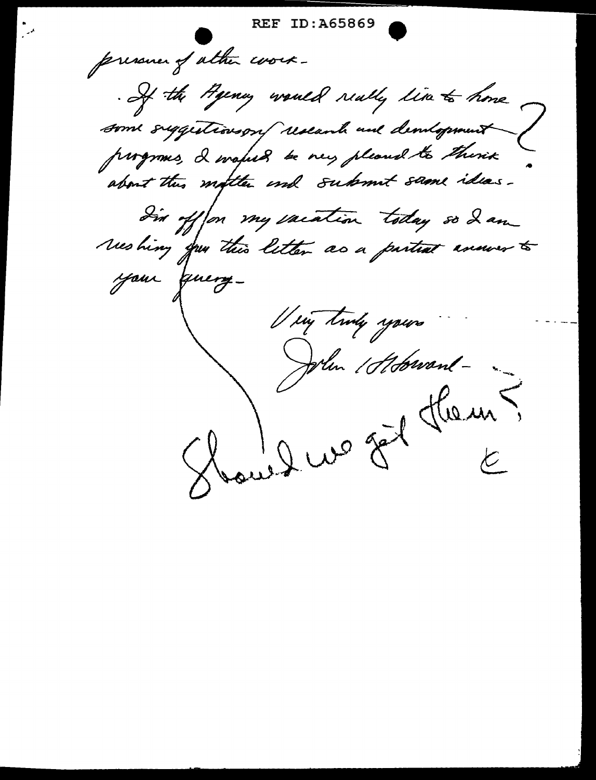**REF ID:A65869** pressure of ather work-. If the Hyeney would really time to home some suggestionson research and demograment progroms, I wafuld be very pleased to thisix In offon my vacation today so I am weshing you this letter as a partial answer to your finery-Very truly yours John 1 Hobrand -Haussus fit them?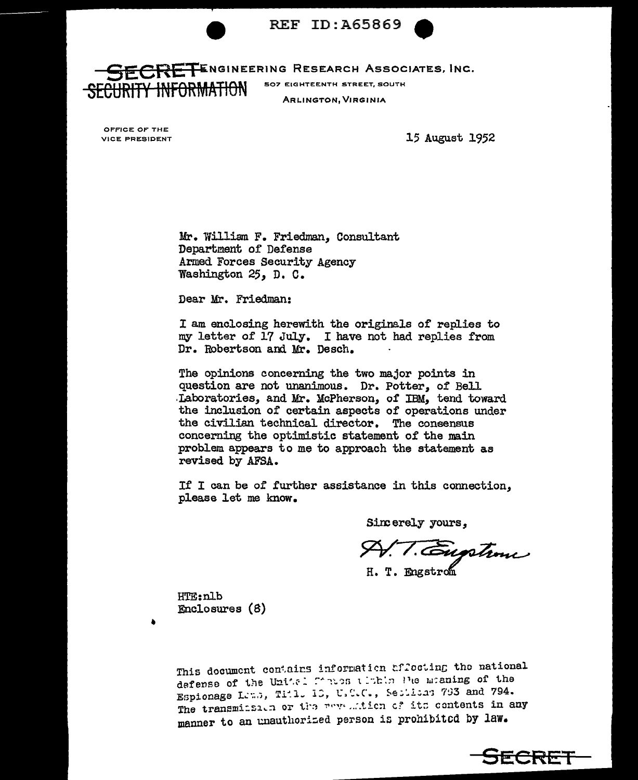



**CRETE**NGINEERING RESEARCH ASSOCIATES, INC. **507 EIGHTEENTH STREET, SOUTH** <del>RITY INFORMATIO</del>N **ARLINGTON, VIRGINIA** 

OFFICE OF THE VICE PRESIDENT

15 August 1952

Mr. William F. Friedman. Consultant Department of Defense Armed Forces Security Agency Washington 25, D. C.

Dear Mr. Friedman:

I am enclosing herewith the originals of replies to my letter of 17 July. I have not had replies from Dr. Robertson and Mr. Desch.

The opinions concerning the two major points in question are not unanimous. Dr. Potter, of Bell Laboratories, and Mr. McPherson, of IBM, tend toward the inclusion of certain aspects of operations under the civilian technical director. The consensus concerning the optimistic statement of the main problem appears to me to approach the statement as revised by AFSA.

If I can be of further assistance in this connection. please let me know.

Sincerely yours,

T. Eugstime H. T. Engstron

HTE:nlb Enclosures (8)

This document contains information afforting the national defense of the United frates timble Ple maning of the Espionage Let.s, Titl. 10, U.C.C., Sections 793 and 794. The transmitsion or the new mition of its contents in any manner to an unauthorized person is prohibited by law.

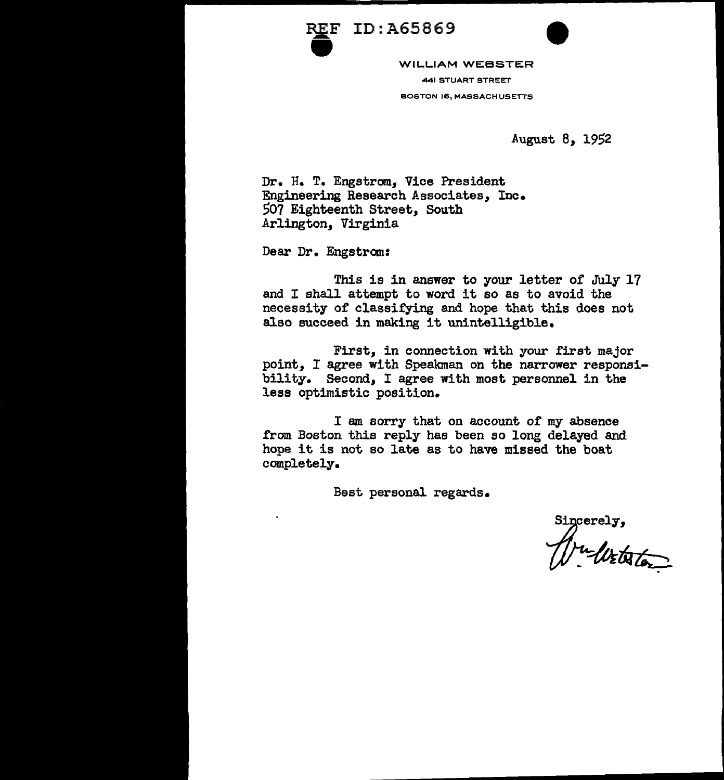



REF ID:A65869 441 STUART STREET BOSTON 16, MASSACHUSETTS

August 8, 1952

Dr. H. T. Engstrom, Vice President Engineering Research Associates, Inc. 507 Eighteenth Street, South Arlington, Virginia

Dear Dr. Engstrom:

This is in answer to your letter of July 17 and I shall attempt to word it so as to avoid the necessity of classifying and hope that this does not also succeed in making it unintelligible.

First, in connection with your first major point, I agree with Speakman on the narrower responsibility. Second, I agree with most personnel in the less optimistic position.

I am sorry that on account of my absence from Boston this reply has been so long delayed and hope it is not so late as to have missed the boat completely.

Best personal regards.

Sincerely,<br>Musikator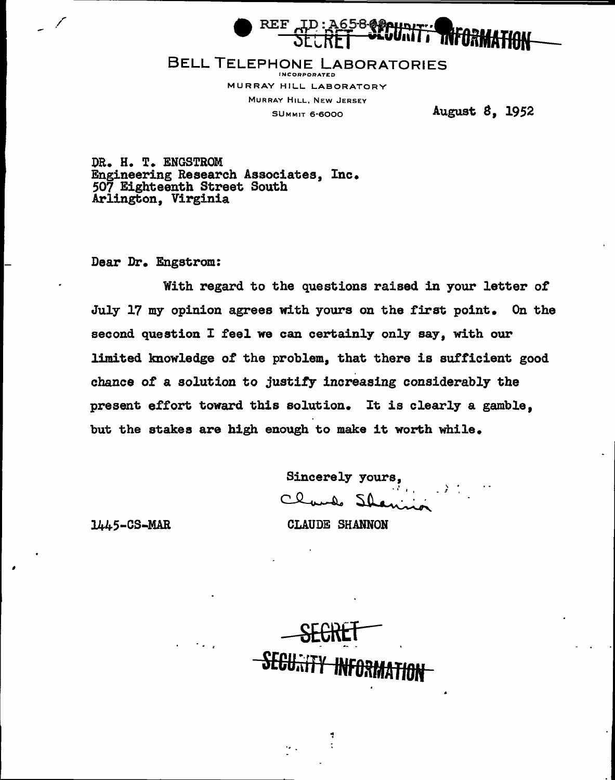

### BELL TELEPHONE LABORATORIES INCORPORATED

MURRAY HILL LABORATORY MURRAY HILL, NEW JERSEY SUMMIT 6·6000

August *8,* 1952

DR. H. T. ENGSTROM Engineering Research Associates, Inc. 507 Eighteenth Street South Arlington, Virginia

Dear Dr. Engstrom:

With regard to the questions raised in your letter *ot*  July 17 my opinion agrees with yours on the first point. On the second question I feel we can certainly only say, with our limited knowledge of the problem, that there is sufficient good chance or a solution to justify increasing considerably the present *ettort* toward this solution. It is clearly a gamble, but the stakes are high enough to make it worth while.

Sincerely yours,

1445-CS-MAR

CLAUDE SHANNON

SECKET S<del>ECU.:ITY INFORM</del>

÷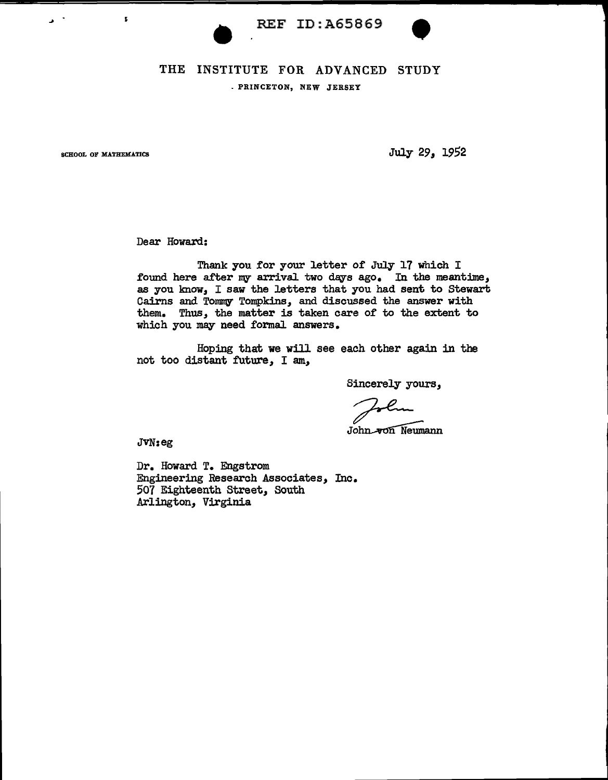

# REF ID:A65869 . PRINCETON, NEW JERSEY

r.

 $\mathbf{v}$ 

SCHOOL OF MATHEMATICS **SCHOOL** OF MATHEMATICS

Dear Howard:

Thank you for your letter of July 17 which I found here after my arrival two days ago. In the meantime, as you know, I saw the letters that you had sent to Stewart Cairns and Tommy Tompkins, and discussed the answer with them. Thus, the matter is taken care of to the extent to which you may need formal answers.

Hoping that we will see each other again in the not too distant future, I am,

Sincerely yours,<br>
sohn von Neumann

John-von Neumann<br>J $V$ N<sub>i</sub>eg

Dr. Howard T. Engstrom Engineering Research Associates, Inc. 507 Eighteenth Street, South Arlington, Virginia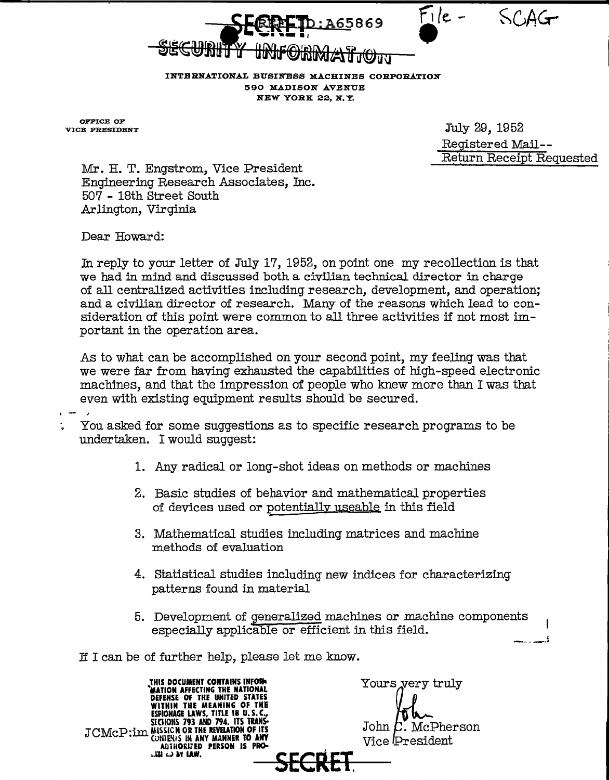File.

INTERNATIONAL BUSINESS MACHINES CORPORATION 590 MADISON AVENUE NEW YORK 22, N. Y.

A65869

OFFICE OF<br>VICE PRESIDENT

July 29, 1952 Registered Mail-- Return Receipt Requested

 $\mathbf{I}$ 

Mr. H. T. Engstrom, Vice President Engineering Research Associates, Inc. 50'7 - 18th Street South Arlington, Virginia

Dear Howard:

In reply to your letter of July 17, 1952, on point one my recollection is that we had in mind and discussed both a civilian technical director in charge of all centralized activities including research, development, and operation; and a civilian director of research. Many of the reasons which lead to consideration of this point were common to all three activities if not most important in the operation area.

As to what can be accomplished on your second point, my feeling was that we were far from having exhausted the capabilities of high-speed electronic machines, and that the impression of people who knew more than I was tbat even with existing equipment results should be secured.

 $\blacksquare$ 

- You asked for some suggestions as to specific research programs to be undertaken. I would suggest:
	- 1. Any radical or long-shot ideas on methods or machines
	- 2. Basic studies of behavior and mathematical properties of devices used or potentially useable in this field
	- 3. Mathematical studies including matrices and machine methods of evaluation
	- 4. Statistical studies including new indices for characterizing patterns found in material
	- 5. Development of generalized machines or machine components especially applicable or efficient in this field. ----A~ '

If I can be of further help, please let me know.

THIS DOCUMENT CONTAINS INFORM<br>"MATION AFFECTING THE NATIONAL<br>DEFENSE OF THE UNITED STATES<br>WITHIN THE MEANING OF THE ESPIONAGE LAWS, TITLE 18 U.S.C.,<br>SECHONS 793 AND 794. ITS TRANS **JCMcP:im MISSICN OR THE REVELATION OF ITS**<br>JCMCP:im Contenis in any manner to any **AUTHORIZED PERSON IS PRO-**•·~ LJ &Y lAW. **SECRET.** 

Yours yery truly John  $\mathcal{L}$ . McPherson Vice President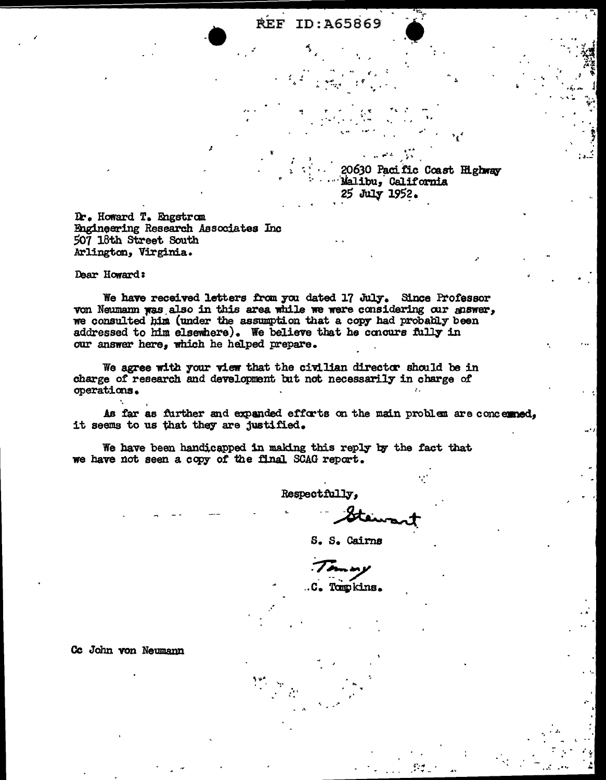20630 Pacific Coast Highway Malibu, California 25 July 1952.

Dr. Howard T. Engstrom Engineering Research Associates Inc 507 18th Street South Arlington, Virginia.

Dear Howard:

We have received letters from you dated 17 July. Since Professor von Neumann was also in this area while we were considering our answer, we consulted him (under the assumption that a copy had probably been addressed to him elsewhere). We believe that he concurs fully in our answer here, which he helped prepare.

We agree with your view that the civilian director should be in charge of research and development but not necessarily in charge of operations.

As far as further and expanded efforts on the main problem are concerned, it seems to us that they are justified.

We have been handicapped in making this reply by the fact that we have not seen a copy of the final SCAG report.

Respectfully,

S. S. Cairns

.C. Tompkins.

Cc John von Neumann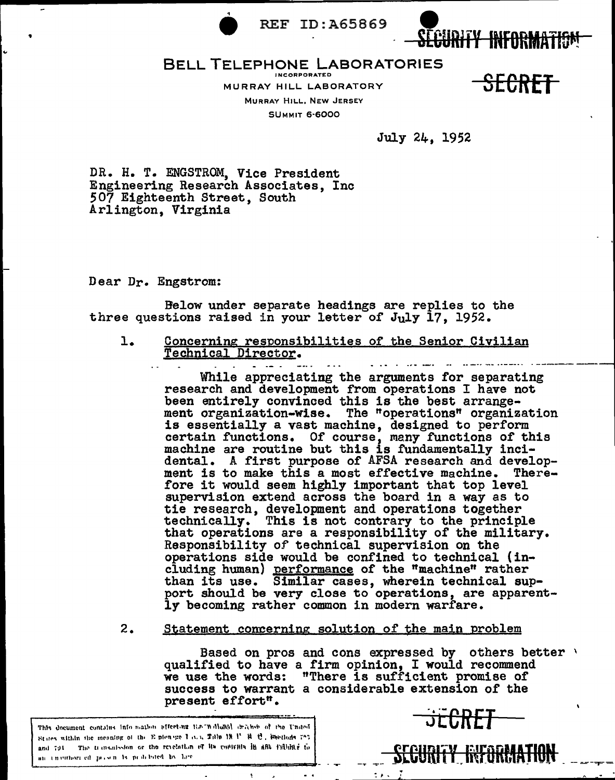

**REF ID:A65869** 



#### **BELL TELEPHONE LABORATORIES INCORPORATED**

MURRAY HILL LABORATORY MURRAY HILL, NEW JERSEY **SUMMIT 6-6000** 

<del>SECRET</del>

July 24, 1952

DR. H. T. ENGSTROM, Vice President Engineering Research Associates, Inc 507 Eighteenth Street, South Arlington, Virginia

Dear Dr. Engstrom:

Below under separate headings are replies to the three questions raised in your letter of July 17, 1952.

ı. Concerning responsibilities of the Senior Civilian Technical Director.

> While appreciating the arguments for separating research and development from operations I have not been entirely convinced this is the best arrangement organization-wise. The "operations" organization is essentially a vast machine, designed to perform<br>certain functions. Of course, many functions of this machine are routine but this is fundamentally incidental. A first purpose of AFSA research and development is to make this a most effective machine. Therefore it would seem highly important that top level supervision extend across the board in a way as to tie research, development and operations together<br>technically. This is not contrary to the principle that operations are a responsibility of the military. Responsibility of technical supervision on the operations side would be confined to technical (including human) performance of the "machine" rather than its use. Similar cases, wherein technical sup-<br>port should be very close to operations, are apparently becoming rather common in modern warfare.

Statement concerning solution of the main problem  $2.$ 

> Based on pros and cons expressed by others better \ qualified to have a firm opinion. I would recommend we use the words: "There is sufficient promise of success to warrant a considerable extension of the present effort".

This document contains into mation affecting the "hollonal drainet of the United States within the meaning of the Epicnege Late Tale 18 P R C, Sections 727. and 791 The transmission or the revelation of its contrain in any rightier to an immitteen of person is peakinged by law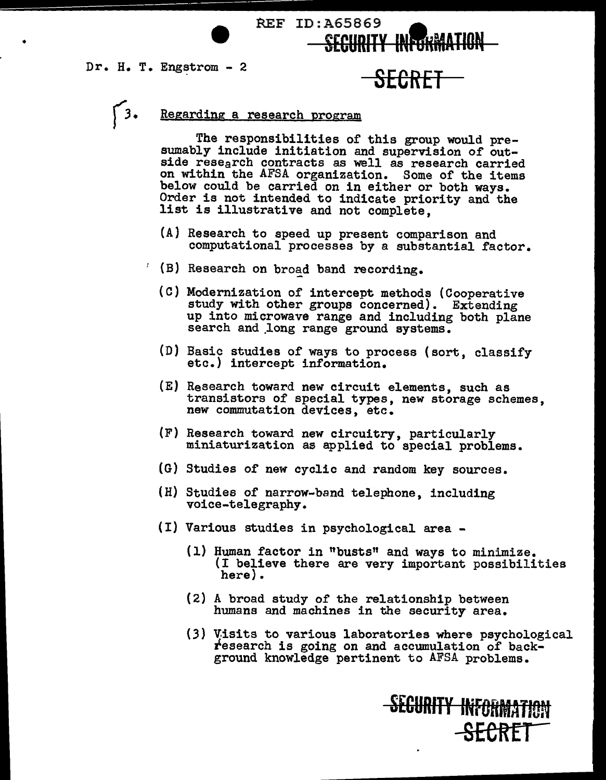•



# *(3.* Regarding a research program

The responsibilities of this group would pre- sumably include initiation and supervision of outside research contracts as well as research carried on within the AFSA organization. Some of the items below could be carried on in either or both ways. Order is not intended to indicate priority and the list is illustrative and not complete,

- (A) Research to speed up present comparison and computational processes by a substantial factor.
- $'$  (B) Research on broad band recording.
	- {C) Modernization of intercept methods (Cooperative study with other groups concerned). Extending up into microwave range and including both plane search and long range ground systems.
	- (D) Basic studies of ways to process (sort, classify etc.) intercept information.
	- (E) Research toward new circuit elements, such as transistors of special types, new storage schemes, new commutation devices, etc.
	- (F) Research toward new circuitry, particularly miniaturization as applied to special problems.
	- (G) Studies of new cyclic and random key sources.
	- (H) Studies of narrow-band telephone, including voice-telegraphy.
	- (I) Various studies in psychological area
		- (1) Human factor in "busts" and ways to minimize. (I believe there are very important possibilities here).
		- (2) A broad study 0£ the relationship between humans and machines in the security area.
		- (3) V.isits to various laboratories where psychological research is going on and accumulation of background knowledge pertinent to AFSA problems.

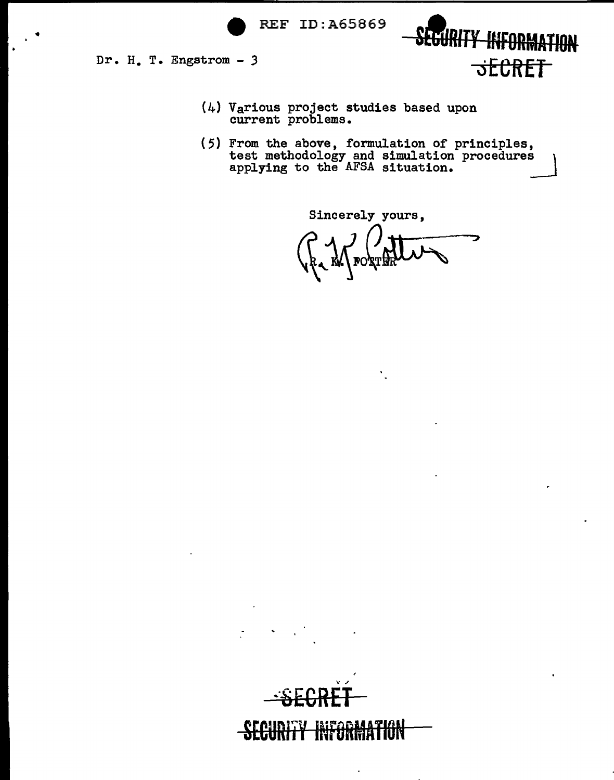

~·sECRET

**SECURITY INTORNATION** 

Dr. H. T. Engstrom - *3* 

- (4) Various project studies based upon current problems.
- (5) From the above, formulation of principles, test methodology and simulation procedures applying to the AFSA situation.

SECURITY INFORMATION

**\SECRET** 

Sincerely yours,

Þ  $\bigcup_{k\in\mathbb{N}}\bigcup_{\mathbb{F}}\text{cogen}$